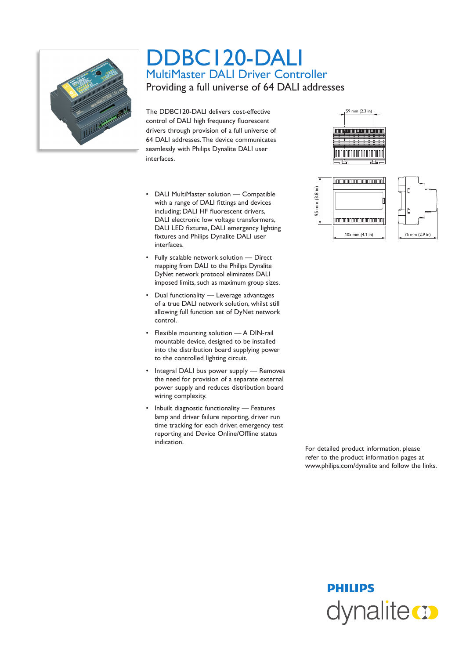

## DDBC120-DALI MultiMaster DALI Driver Controller Providing a full universe of 64 DALI addresses

The DDBC120-DALI delivers cost-effective control of DALI high frequency fluorescent drivers through provision of a full universe of 64 DALI addresses. The device communicates seamlessly with Philips Dynalite DALI user interfaces.

- • DALI MultiMaster solution Compatible with a range of DALI fittings and devices including; DALI HF fluorescent drivers, DALI electronic low voltage transformers, DALI LED fixtures, DALI emergency lighting fixtures and Philips Dynalite DALI user interfaces.
- • Fully scalable network solution Direct mapping from DALI to the Philips Dynalite DyNet network protocol eliminates DALI imposed limits, such as maximum group sizes.
- • Dual functionality Leverage advantages of a true DALI network solution, whilst still allowing full function set of DyNet network control.
- • Flexible mounting solution A DIN-rail mountable device, designed to be installed into the distribution board supplying power to the controlled lighting circuit.
- Integral DALI bus power supply Removes the need for provision of a separate external power supply and reduces distribution board wiring complexity.
- • Inbuilt diagnostic functionality Features lamp and driver failure reporting, driver run time tracking for each driver, emergency test reporting and Device Online/Offline status indication.





 For detailed product information, please refer to the product information pages at www.philips.com/dynalite and follow the links.